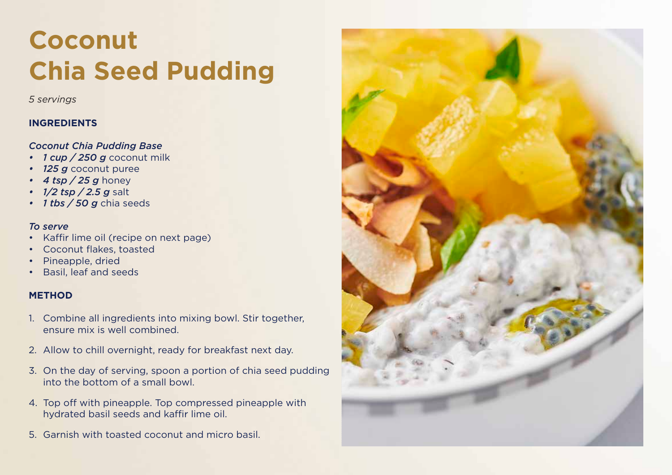## **Hazlenut Chocolate Coconut Chia Seed Pudding Chia Seed Pudding**

*5 servings*

## **INGREDIENTS**

#### *Chia Pudding Base Coconut Chia Pudding Base*

- *1 cup / 250 g* coconut milk
- 125 g coconut puree
- *2 tsp / 5 g* cocoa or cacao powder *• 4 tsp / 25 g* honey
- *• 1/2 tsp / 2.5 g* salt
- *• 1 tbs / 50 g* chia seeds

#### Raspberry caramel (recipe on next page) *To serve*

- Kaffir lime oil (recipe on next page)
- Coconut flakes, toasted
- Pineapple, dried
- Basil, leaf and seeds

## **METHOD**

- ensure mix is well combined. 1. Combine all ingredients into mixing bowl. Stir together,
- 2. Allow to chill overnight, ready for breakfast next day.
- 3. On the day of serving, spoon a portion of chia seed pudding into the bottom of a small bowl.
- Top with dollops of raspberry caramel, chopped toasted hydrated basil seeds and kaffir lime oil. 4. Top off with pineapple. Top compressed pineapple with
- 5. Garnish with toasted coconut and micro basil.